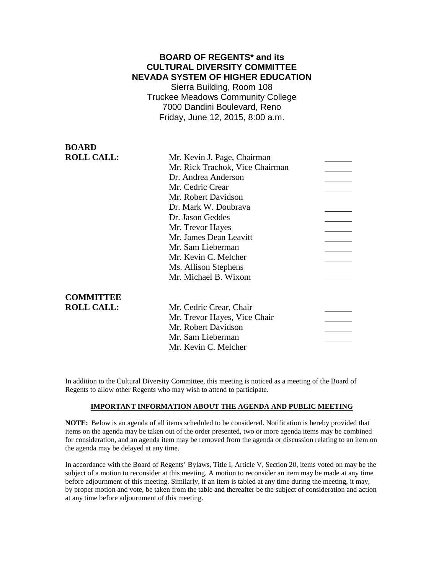# **BOARD OF REGENTS\* and its CULTURAL DIVERSITY COMMITTEE NEVADA SYSTEM OF HIGHER EDUCATION**

Sierra Building, Room 108 Truckee Meadows Community College 7000 Dandini Boulevard, Reno Friday, June 12, 2015, 8:00 a.m.

**BOARD ROLL CALL:** 

| Mr. Rick Trachok, Vice Chairman |  |
|---------------------------------|--|
| Dr. Andrea Anderson             |  |
| Mr. Cedric Crear                |  |
| Mr. Robert Davidson             |  |
| Dr. Mark W. Doubrava            |  |
| Dr. Jason Geddes                |  |
| Mr. Trevor Hayes                |  |
| Mr. James Dean Leavitt          |  |
| Mr. Sam Lieberman               |  |
| Mr. Kevin C. Melcher            |  |
| Ms. Allison Stephens            |  |
| Mr. Michael B. Wixom            |  |

### **COMMITTEE ROLL CALL:**

| Mr. Cedric Crear, Chair      |  |
|------------------------------|--|
| Mr. Trevor Hayes, Vice Chair |  |
| Mr. Robert Davidson          |  |
| Mr. Sam Lieberman            |  |
| Mr. Kevin C. Melcher         |  |

In addition to the Cultural Diversity Committee, this meeting is noticed as a meeting of the Board of Regents to allow other Regents who may wish to attend to participate.

### **IMPORTANT INFORMATION ABOUT THE AGENDA AND PUBLIC MEETING**

**NOTE:** Below is an agenda of all items scheduled to be considered. Notification is hereby provided that items on the agenda may be taken out of the order presented, two or more agenda items may be combined for consideration, and an agenda item may be removed from the agenda or discussion relating to an item on the agenda may be delayed at any time.

In accordance with the Board of Regents' Bylaws, Title I, Article V, Section 20, items voted on may be the subject of a motion to reconsider at this meeting. A motion to reconsider an item may be made at any time before adjournment of this meeting. Similarly, if an item is tabled at any time during the meeting, it may, by proper motion and vote, be taken from the table and thereafter be the subject of consideration and action at any time before adjournment of this meeting.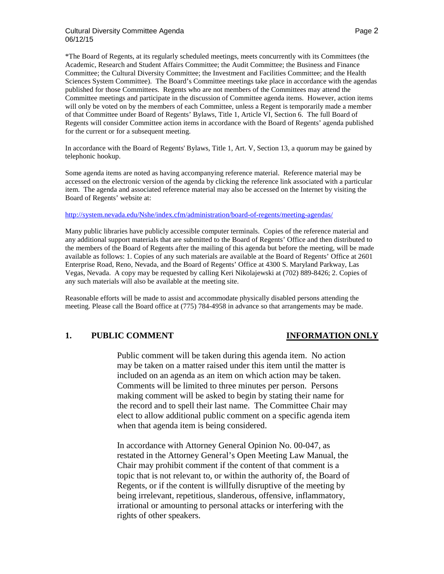### Cultural Diversity Committee Agenda **Page 2** and 2008 and 2011 and 2012 and 2013 06/12/15

\*The Board of Regents, at its regularly scheduled meetings, meets concurrently with its Committees (the Academic, Research and Student Affairs Committee; the Audit Committee; the Business and Finance Committee; the Cultural Diversity Committee; the Investment and Facilities Committee; and the Health Sciences System Committee). The Board's Committee meetings take place in accordance with the agendas published for those Committees. Regents who are not members of the Committees may attend the Committee meetings and participate in the discussion of Committee agenda items. However, action items will only be voted on by the members of each Committee, unless a Regent is temporarily made a member of that Committee under Board of Regents' Bylaws, Title 1, Article VI, Section 6. The full Board of Regents will consider Committee action items in accordance with the Board of Regents' agenda published for the current or for a subsequent meeting.

In accordance with the Board of Regents' Bylaws, Title 1, Art. V, Section 13, a quorum may be gained by telephonic hookup.

Some agenda items are noted as having accompanying reference material. Reference material may be accessed on the electronic version of the agenda by clicking the reference link associated with a particular item. The agenda and associated reference material may also be accessed on the Internet by visiting the Board of Regents' website at:

### <http://system.nevada.edu/Nshe/index.cfm/administration/board-of-regents/meeting-agendas/>

Many public libraries have publicly accessible computer terminals. Copies of the reference material and any additional support materials that are submitted to the Board of Regents' Office and then distributed to the members of the Board of Regents after the mailing of this agenda but before the meeting, will be made available as follows: 1. Copies of any such materials are available at the Board of Regents' Office at 2601 Enterprise Road, Reno, Nevada, and the Board of Regents' Office at 4300 S. Maryland Parkway, Las Vegas, Nevada. A copy may be requested by calling Keri Nikolajewski at (702) 889-8426; 2. Copies of any such materials will also be available at the meeting site.

Reasonable efforts will be made to assist and accommodate physically disabled persons attending the meeting. Please call the Board office at (775) 784-4958 in advance so that arrangements may be made.

# **1. PUBLIC COMMENT INFORMATION ONLY**

Public comment will be taken during this agenda item. No action may be taken on a matter raised under this item until the matter is included on an agenda as an item on which action may be taken. Comments will be limited to three minutes per person. Persons making comment will be asked to begin by stating their name for the record and to spell their last name. The Committee Chair may elect to allow additional public comment on a specific agenda item when that agenda item is being considered.

In accordance with Attorney General Opinion No. 00-047, as restated in the Attorney General's Open Meeting Law Manual, the Chair may prohibit comment if the content of that comment is a topic that is not relevant to, or within the authority of, the Board of Regents, or if the content is willfully disruptive of the meeting by being irrelevant, repetitious, slanderous, offensive, inflammatory, irrational or amounting to personal attacks or interfering with the rights of other speakers.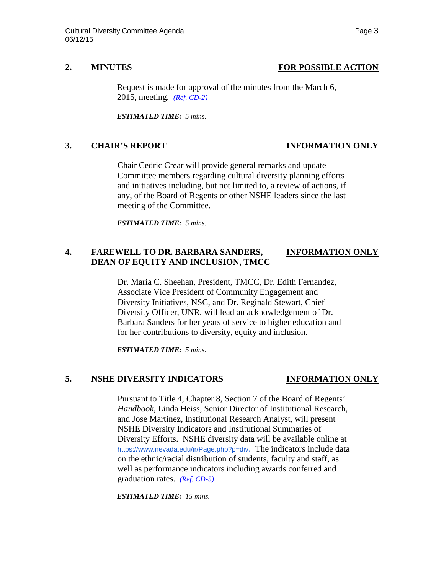# **2. MINUTES FOR POSSIBLE ACTION**

Request is made for approval of the minutes from the March 6, 2015, meeting. *[\(Ref. CD-2\)](http://system.nevada.edu/tasks/sites/Nshe/assets/File/BoardOfRegents/Agendas/2015/jun-mtgs/cd-refs/CD-2.pdf)*

*ESTIMATED TIME: 5 mins.*

# **3. CHAIR'S REPORT INFORMATION ONLY**

Chair Cedric Crear will provide general remarks and update Committee members regarding cultural diversity planning efforts and initiatives including, but not limited to, a review of actions, if any, of the Board of Regents or other NSHE leaders since the last meeting of the Committee.

*ESTIMATED TIME: 5 mins.*

# **4. FAREWELL TO DR. BARBARA SANDERS, INFORMATION ONLY DEAN OF EQUITY AND INCLUSION, TMCC**

Dr. Maria C. Sheehan, President, TMCC, Dr. Edith Fernandez, Associate Vice President of Community Engagement and Diversity Initiatives, NSC, and Dr. Reginald Stewart, Chief Diversity Officer, UNR, will lead an acknowledgement of Dr. Barbara Sanders for her years of service to higher education and for her contributions to diversity, equity and inclusion.

*ESTIMATED TIME: 5 mins.*

## **5. NSHE DIVERSITY INDICATORS INFORMATION ONLY**

Pursuant to Title 4, Chapter 8, Section 7 of the Board of Regents' *Handbook*, Linda Heiss, Senior Director of Institutional Research, and Jose Martinez, Institutional Research Analyst, will present NSHE Diversity Indicators and Institutional Summaries of Diversity Efforts. NSHE diversity data will be available online at [https://www.nevada.edu/ir/Page.php?p=div.](https://www.nevada.edu/ir/Page.php?p=div) The indicators include data on the ethnic/racial distribution of students, faculty and staff, as well as performance indicators including awards conferred and graduation rates. *[\(Ref. CD-5\)](http://system.nevada.edu/tasks/sites/Nshe/assets/File/BoardOfRegents/Agendas/2015/jun-mtgs/cd-refs/CD-5.pdf)*

*ESTIMATED TIME: 15 mins.*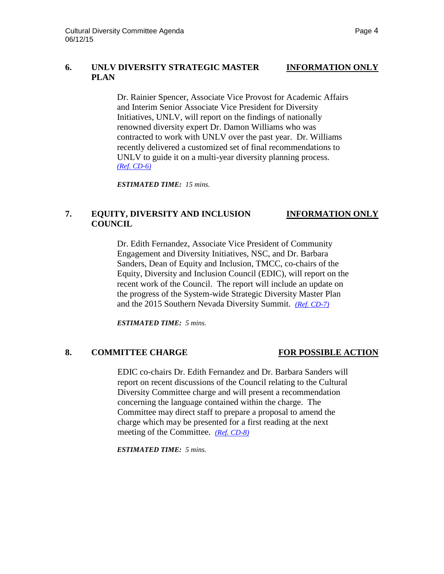# **6. UNLV DIVERSITY STRATEGIC MASTER INFORMATION ONLY PLAN**

Dr. Rainier Spencer, Associate Vice Provost for Academic Affairs and Interim Senior Associate Vice President for Diversity Initiatives, UNLV, will report on the findings of nationally renowned diversity expert Dr. Damon Williams who was contracted to work with UNLV over the past year. Dr. Williams recently delivered a customized set of final recommendations to UNLV to guide it on a multi-year diversity planning process. *[\(Ref. CD-6\)](http://system.nevada.edu/tasks/sites/Nshe/assets/File/BoardOfRegents/Agendas/2015/jun-mtgs/cd-refs/CD-6.pdf)*

*ESTIMATED TIME: 15 mins.*

# **7. EQUITY, DIVERSITY AND INCLUSION INFORMATION ONLY COUNCIL**

Dr. Edith Fernandez, Associate Vice President of Community Engagement and Diversity Initiatives, NSC, and Dr. Barbara Sanders, Dean of Equity and Inclusion, TMCC, co-chairs of the Equity, Diversity and Inclusion Council (EDIC), will report on the recent work of the Council. The report will include an update on the progress of the System-wide Strategic Diversity Master Plan and the 2015 Southern Nevada Diversity Summit. *[\(Ref. CD-7\)](http://system.nevada.edu/tasks/sites/Nshe/assets/File/BoardOfRegents/Agendas/2015/jun-mtgs/cd-refs/CD-7.pdf)*

*ESTIMATED TIME: 5 mins.*

## 8. **COMMITTEE CHARGE FOR POSSIBLE ACTION**

EDIC co-chairs Dr. Edith Fernandez and Dr. Barbara Sanders will report on recent discussions of the Council relating to the Cultural Diversity Committee charge and will present a recommendation concerning the language contained within the charge. The Committee may direct staff to prepare a proposal to amend the charge which may be presented for a first reading at the next meeting of the Committee. *[\(Ref. CD-8\)](http://system.nevada.edu/tasks/sites/Nshe/assets/File/BoardOfRegents/Agendas/2015/jun-mtgs/cd-refs/CD-8.pdf)*

*ESTIMATED TIME: 5 mins.*